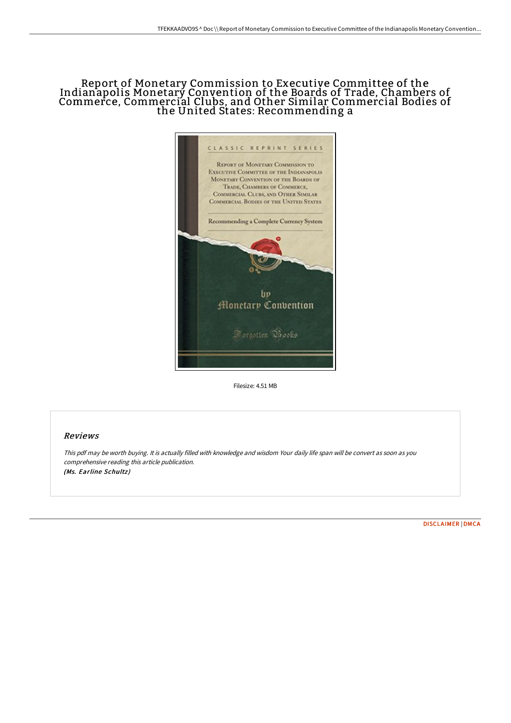## Report of Monetary Commission to Executive Committee of the Indianapolis Monetary Convention of the Boards of Trade, Chambers of Commerce, Commercial Clubs, and Other Similar Commercial Bodies of the United States: Recommending a



Filesize: 4.51 MB

## Reviews

This pdf may be worth buying. It is actually filled with knowledge and wisdom Your daily life span will be convert as soon as you comprehensive reading this article publication. (Ms. Earline Schultz)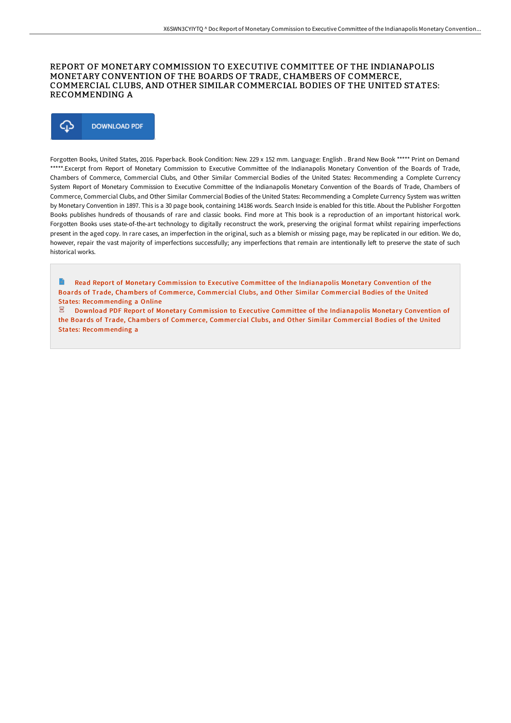## REPORT OF MONETARY COMMISSION TO EXECUTIVE COMMITTEE OF THE INDIANAPOLIS MONETARY CONVENTION OF THE BOARDS OF TRADE, CHAMBERS OF COMMERCE, COMMERCIAL CLUBS, AND OTHER SIMILAR COMMERCIAL BODIES OF THE UNITED STATES: RECOMMENDING A



Forgotten Books, United States, 2016. Paperback. Book Condition: New. 229 x 152 mm. Language: English . Brand New Book \*\*\*\*\* Print on Demand \*\*\*\*\*.Excerpt from Report of Monetary Commission to Executive Committee of the Indianapolis Monetary Convention of the Boards of Trade, Chambers of Commerce, Commercial Clubs, and Other Similar Commercial Bodies of the United States: Recommending a Complete Currency System Report of Monetary Commission to Executive Committee of the Indianapolis Monetary Convention of the Boards of Trade, Chambers of Commerce, Commercial Clubs, and Other Similar Commercial Bodies of the United States: Recommending a Complete Currency System was written by Monetary Convention in 1897. This is a 30 page book, containing 14186 words. Search Inside is enabled for this title. About the Publisher Forgotten Books publishes hundreds of thousands of rare and classic books. Find more at This book is a reproduction of an important historical work. Forgotten Books uses state-of-the-art technology to digitally reconstruct the work, preserving the original format whilst repairing imperfections present in the aged copy. In rare cases, an imperfection in the original, such as a blemish or missing page, may be replicated in our edition. We do, however, repair the vast majority of imperfections successfully; any imperfections that remain are intentionally left to preserve the state of such historical works.

 $\mathbf{B}$ Read Report of Monetary Commission to Executive Committee of the Indianapolis Monetary Convention of the Boards of Trade, Chambers of Commerce, Commercial Clubs, and Other Similar Commercial Bodies of the United States: [Recommending](http://techno-pub.tech/report-of-monetary-commission-to-executive-commi.html) a Online

 $\mathbb E$  Download PDF Report of Monetary Commission to Executive Committee of the Indianapolis Monetary Convention of the Boards of Trade, Chambers of Commerce, Commercial Clubs, and Other Similar Commercial Bodies of the United States: [Recommending](http://techno-pub.tech/report-of-monetary-commission-to-executive-commi.html) a